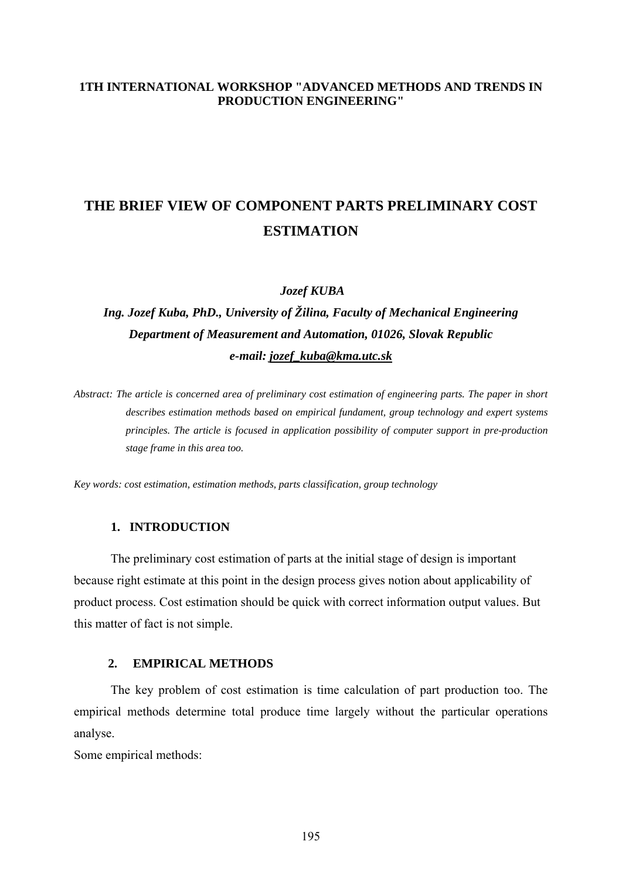#### **1TH INTERNATIONAL WORKSHOP "ADVANCED METHODS AND TRENDS IN PRODUCTION ENGINEERING"**

# **THE BRIEF VIEW OF COMPONENT PARTS PRELIMINARY COST ESTIMATION**

 *Jozef KUBA*

## *Ing. Jozef Kuba, PhD., University of Žilina, Faculty of Mechanical Engineering Department of Measurement and Automation, 01026, Slovak Republic e-mail: [jozef\\_kuba@kma.utc.sk](mailto:jozef_kuba@kma.utc.sk)*

*Abstract: The article is concerned area of preliminary cost estimation of engineering parts. The paper in short describes estimation methods based on empirical fundament, group technology and expert systems principles. The article is focused in application possibility of computer support in pre-production stage frame in this area too.* 

*Key words: cost estimation, estimation methods, parts classification, group technology*

#### **1. INTRODUCTION**

The preliminary cost estimation of parts at the initial stage of design is important because right estimate at this point in the design process gives notion about applicability of product process. Cost estimation should be quick with correct information output values. But this matter of fact is not simple.

#### **2. EMPIRICAL METHODS**

The key problem of cost estimation is time calculation of part production too. The empirical methods determine total produce time largely without the particular operations analyse.

Some empirical methods: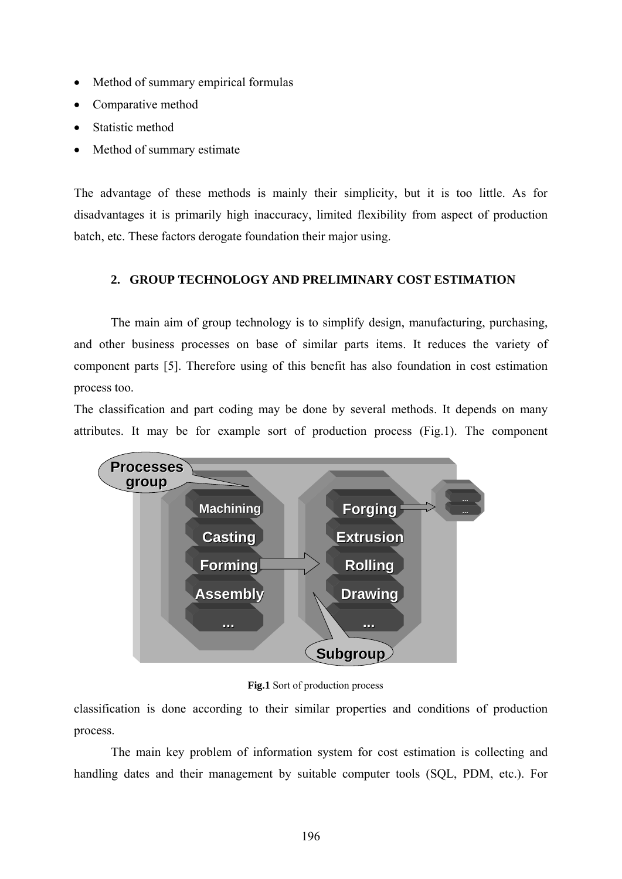- Method of summary empirical formulas
- Comparative method
- Statistic method
- Method of summary estimate

The advantage of these methods is mainly their simplicity, but it is too little. As for disadvantages it is primarily high inaccuracy, limited flexibility from aspect of production batch, etc. These factors derogate foundation their major using.

## **2. GROUP TECHNOLOGY AND PRELIMINARY COST ESTIMATION**

The main aim of group technology is to simplify design, manufacturing, purchasing, and other business processes on base of similar parts items. It reduces the variety of component parts [5]. Therefore using of this benefit has also foundation in cost estimation process too.

The classification and part coding may be done by several methods. It depends on many attributes. It may be for example sort of production process (Fig.1). The component



**Fig.1** Sort of production process

classification is done according to their similar properties and conditions of production process.

The main key problem of information system for cost estimation is collecting and handling dates and their management by suitable computer tools (SQL, PDM, etc.). For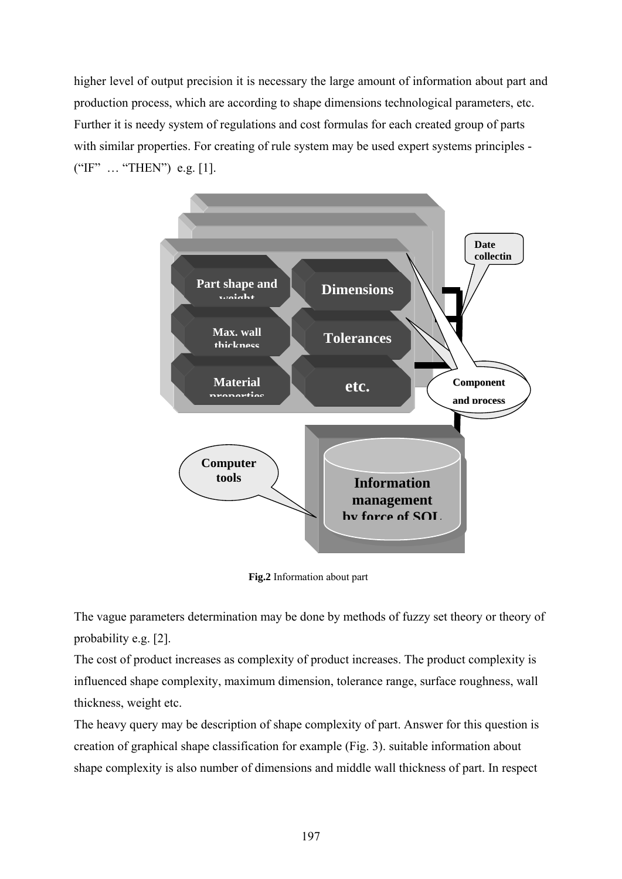higher level of output precision it is necessary the large amount of information about part and production process, which are according to shape dimensions technological parameters, etc. Further it is needy system of regulations and cost formulas for each created group of parts with similar properties. For creating of rule system may be used expert systems principles -("IF" … "THEN") e.g. [1].



**Fig.2** Information about part

The vague parameters determination may be done by methods of fuzzy set theory or theory of probability e.g. [2].

The cost of product increases as complexity of product increases. The product complexity is influenced shape complexity, maximum dimension, tolerance range, surface roughness, wall thickness, weight etc.

The heavy query may be description of shape complexity of part. Answer for this question is creation of graphical shape classification for example (Fig. 3). suitable information about shape complexity is also number of dimensions and middle wall thickness of part. In respect